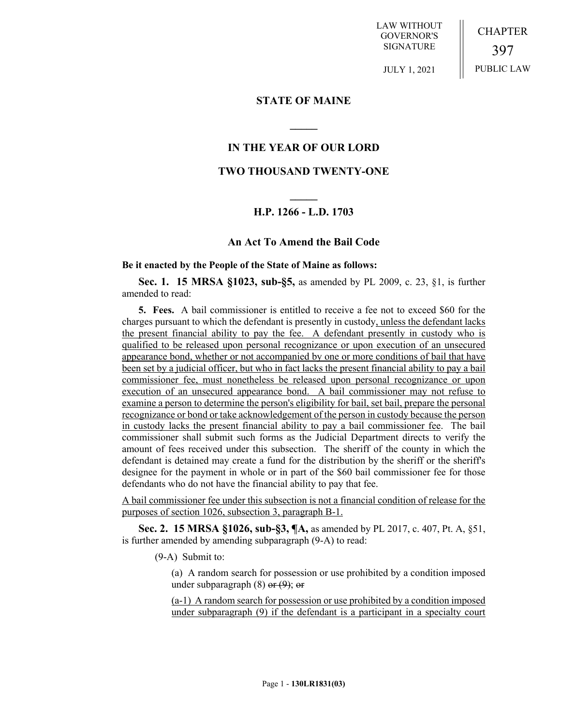LAW WITHOUT GOVERNOR'S SIGNATURE

CHAPTER 397 PUBLIC LAW

JULY 1, 2021

### **STATE OF MAINE**

# **IN THE YEAR OF OUR LORD**

**\_\_\_\_\_**

# **TWO THOUSAND TWENTY-ONE**

# **\_\_\_\_\_ H.P. 1266 - L.D. 1703**

### **An Act To Amend the Bail Code**

#### **Be it enacted by the People of the State of Maine as follows:**

**Sec. 1. 15 MRSA §1023, sub-§5,** as amended by PL 2009, c. 23, §1, is further amended to read:

**5. Fees.** A bail commissioner is entitled to receive a fee not to exceed \$60 for the charges pursuant to which the defendant is presently in custody, unless the defendant lacks the present financial ability to pay the fee. A defendant presently in custody who is qualified to be released upon personal recognizance or upon execution of an unsecured appearance bond, whether or not accompanied by one or more conditions of bail that have been set by a judicial officer, but who in fact lacks the present financial ability to pay a bail commissioner fee, must nonetheless be released upon personal recognizance or upon execution of an unsecured appearance bond. A bail commissioner may not refuse to examine a person to determine the person's eligibility for bail, set bail, prepare the personal recognizance or bond or take acknowledgement of the person in custody because the person in custody lacks the present financial ability to pay a bail commissioner fee. The bail commissioner shall submit such forms as the Judicial Department directs to verify the amount of fees received under this subsection. The sheriff of the county in which the defendant is detained may create a fund for the distribution by the sheriff or the sheriff's designee for the payment in whole or in part of the \$60 bail commissioner fee for those defendants who do not have the financial ability to pay that fee.

A bail commissioner fee under this subsection is not a financial condition of release for the purposes of section 1026, subsection 3, paragraph B-1.

**Sec. 2. 15 MRSA §1026, sub-§3, ¶A,** as amended by PL 2017, c. 407, Pt. A, §51, is further amended by amending subparagraph (9-A) to read:

(9-A) Submit to:

(a) A random search for possession or use prohibited by a condition imposed under subparagraph  $(8)$  or  $(9)$ ; or

(a-1) A random search for possession or use prohibited by a condition imposed under subparagraph (9) if the defendant is a participant in a specialty court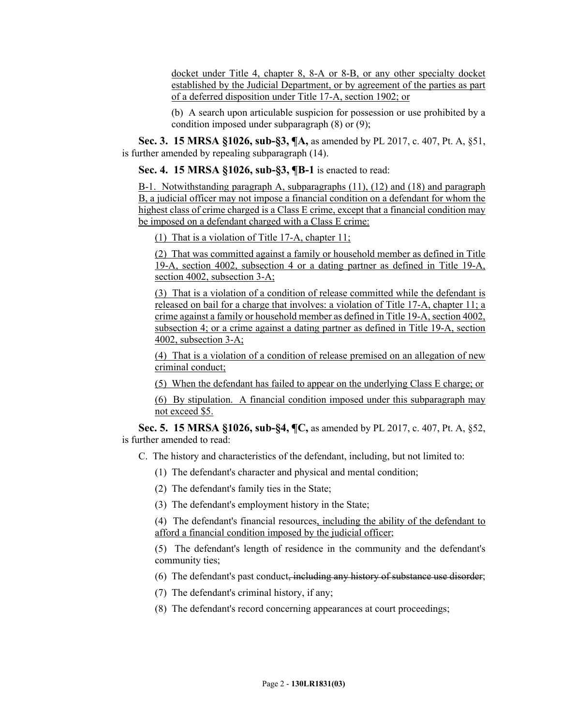docket under Title 4, chapter 8, 8-A or 8-B, or any other specialty docket established by the Judicial Department, or by agreement of the parties as part of a deferred disposition under Title 17-A, section 1902; or

(b) A search upon articulable suspicion for possession or use prohibited by a condition imposed under subparagraph (8) or (9);

**Sec. 3. 15 MRSA §1026, sub-§3, ¶A,** as amended by PL 2017, c. 407, Pt. A, §51, is further amended by repealing subparagraph (14).

**Sec. 4. 15 MRSA §1026, sub-§3, ¶B-1** is enacted to read:

B-1. Notwithstanding paragraph A, subparagraphs (11), (12) and (18) and paragraph B, a judicial officer may not impose a financial condition on a defendant for whom the highest class of crime charged is a Class E crime, except that a financial condition may be imposed on a defendant charged with a Class E crime:

(1) That is a violation of Title 17-A, chapter 11;

(2) That was committed against a family or household member as defined in Title 19-A, section 4002, subsection 4 or a dating partner as defined in Title 19-A, section 4002, subsection 3-A;

(3) That is a violation of a condition of release committed while the defendant is released on bail for a charge that involves: a violation of Title 17-A, chapter 11; a crime against a family or household member as defined in Title 19-A, section 4002, subsection 4; or a crime against a dating partner as defined in Title 19-A, section 4002, subsection 3-A;

(4) That is a violation of a condition of release premised on an allegation of new criminal conduct;

(5) When the defendant has failed to appear on the underlying Class E charge; or

(6) By stipulation. A financial condition imposed under this subparagraph may not exceed \$5.

**Sec. 5. 15 MRSA §1026, sub-§4, ¶C,** as amended by PL 2017, c. 407, Pt. A, §52, is further amended to read:

C. The history and characteristics of the defendant, including, but not limited to:

- (1) The defendant's character and physical and mental condition;
- (2) The defendant's family ties in the State;
- (3) The defendant's employment history in the State;

(4) The defendant's financial resources, including the ability of the defendant to afford a financial condition imposed by the judicial officer;

(5) The defendant's length of residence in the community and the defendant's community ties;

- (6) The defendant's past conduct, including any history of substance use disorder;
- (7) The defendant's criminal history, if any;
- (8) The defendant's record concerning appearances at court proceedings;